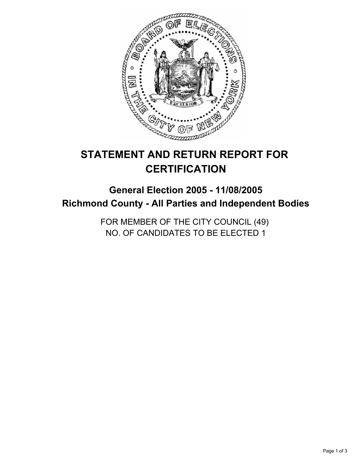

# **STATEMENT AND RETURN REPORT FOR CERTIFICATION**

# **General Election 2005 - 11/08/2005 Richmond County - All Parties and Independent Bodies**

FOR MEMBER OF THE CITY COUNCIL (49) NO. OF CANDIDATES TO BE ELECTED 1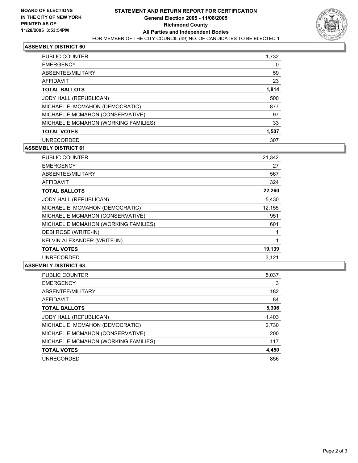

### **ASSEMBLY DISTRICT 60**

| <b>PUBLIC COUNTER</b>                | 1,732 |
|--------------------------------------|-------|
| <b>EMERGENCY</b>                     |       |
| ABSENTEE/MILITARY                    | 59    |
| AFFIDAVIT                            | 23    |
| <b>TOTAL BALLOTS</b>                 | 1,814 |
| JODY HALL (REPUBLICAN)               | 500   |
| MICHAEL E. MCMAHON (DEMOCRATIC)      | 877   |
| MICHAEL E MCMAHON (CONSERVATIVE)     | 97    |
| MICHAEL E MCMAHON (WORKING FAMILIES) | 33    |
| <b>TOTAL VOTES</b>                   | 1,507 |
| <b>UNRECORDED</b>                    | 307   |

## **ASSEMBLY DISTRICT 61**

| <b>PUBLIC COUNTER</b>                | 21,342 |  |
|--------------------------------------|--------|--|
| <b>EMERGENCY</b>                     | 27     |  |
| ABSENTEE/MILITARY                    | 567    |  |
| <b>AFFIDAVIT</b>                     | 324    |  |
| <b>TOTAL BALLOTS</b>                 | 22,260 |  |
| JODY HALL (REPUBLICAN)               | 5,430  |  |
| MICHAEL E. MCMAHON (DEMOCRATIC)      | 12,155 |  |
| MICHAEL E MCMAHON (CONSERVATIVE)     | 951    |  |
| MICHAEL E MCMAHON (WORKING FAMILIES) | 601    |  |
| DEBI ROSE (WRITE-IN)                 |        |  |
| KELVIN ALEXANDER (WRITE-IN)          |        |  |
| <b>TOTAL VOTES</b>                   | 19,139 |  |
| <b>UNRECORDED</b>                    | 3,121  |  |

#### **ASSEMBLY DISTRICT 63**

| 5,037 |
|-------|
| 3     |
| 182   |
| 84    |
| 5,306 |
| 1,403 |
| 2,730 |
| 200   |
| 117   |
| 4,450 |
| 856   |
|       |